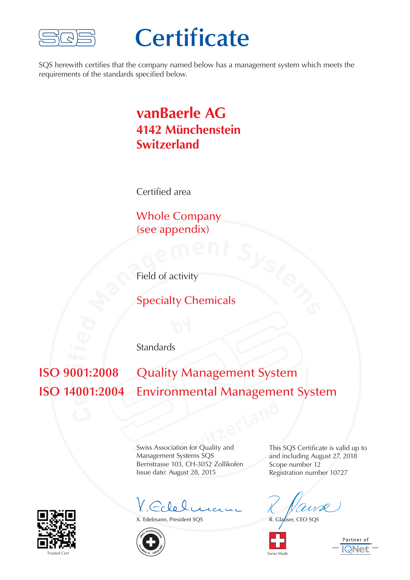

## **Certificate**

SQS herewith certifies that the company named below has a management system which meets the requirements of the standards specified below.

## **vanBaerle AG 4142 Münchenstein Switzerland**

Certified area

 $\int_{\mathcal{B}}$ **nt**  $\mathcal{S}_{\mathcal{Y}_{\mathcal{S}}}$ Whole Company (see appendix)

Field of activity

Specialty Chemicals

**Standards** 

**e ISO 14001:2004** Environmental Management System  $\mathbf{u}$ **i Quality Management System** 

**Switzerland**<br> **Switzerland**<br> **Switzerland**<br> **Switzerland**<br> **Switzerland**<br> **Switzerland**<br> **Switzerland**<br> **Switzerland**<br> **Switzerland**<br> **Switzerland**<br> **Switzerland**<br> **Switzerland**<br> **Switzerland**<br> **Switzerland** Swiss Association for Quality and Management Systems SQS Bernstrasse 103, CH-3052 Zollikofen Issue date: August 28, 2015

Y Edelmann

X. Edelmann, President SQS



This SQS Certificate is valid up to and including August 27, 2018 Scope number 12 Registration number 10727

R. Glauser, CEO SQS